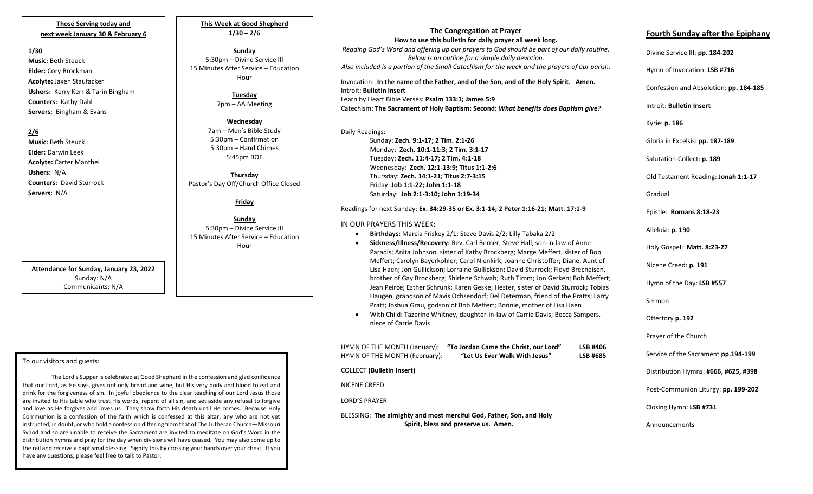### **Those Serving today and next week January 30 & February 6**

### **1/30**

**Music:** Beth Steuck **Elder:** Cory Brockman **Acolyte:** Jaxen Staufacker **Ushers:** Kerry Kerr & Tarin Bingham **Counters:** Kathy Dahl **Servers:** Bingham & Evans

### **2/6**

**Music:** Beth Steuck **Elder:** Darwin Leek **Acolyte:** Carter Manthei **Ushers:** N/A **Counters:** David Sturrock **Servers:** N/A

**Attendance for Sunday, January 23, 2022** Sunday: N/A Communicants: N/A

### To our visitors and guests:

 Synod and so are unable to receive the Sacrament are invited to meditate on God's Word in the The Lord's Supper is celebrated at Good Shepherd in the confession and glad confidence that our Lord, as He says, gives not only bread and wine, but His very body and blood to eat and drink for the forgiveness of sin. In joyful obedience to the clear teaching of our Lord Jesus those are invited to His table who trust His words, repent of all sin, and set aside any refusal to forgive and love as He forgives and loves us. They show forth His death until He comes. Because Holy Communion is a confession of the faith which is confessed at this altar, any who are not yet instructed, in doubt, or who hold a confession differing from that of The Lutheran Church—Missouri distribution hymns and pray for the day when divisions will have ceased. You may also come up to the rail and receive a baptismal blessing. Signify this by crossing your hands over your chest. If you have any questions, please feel free to talk to Pastor.

**This Week at Good Shepherd 1/30 – 2/6**

### **Sunday** 5:30pm – Divine Service III 15 Minutes After Service – Education

Hour

**Tuesday** 7pm – AA Meeting

**Wednesday** 7am – Men's Bible Study 5:30pm – Confirmation 5:30pm – Hand Chimes 5:45pm BOE

**Thursday** Pastor's Day Off/Church Office Closed

### **Friday**

**Sunday** 5:30pm – Divine Service III 15 Minutes After Service – Education Hour

# **The Congregation at Prayer**

**How to use this bulletin for daily prayer all week long.** *Reading God's Word and offering up our prayers to God should be part of our daily routine. Below is an outline for a simple daily devotion. Also included is a portion of the Small Catechism for the week and the prayers of our parish.*

Invocation: **In the name of the Father, and of the Son, and of the Holy Spirit. Amen.** Introit: **Bulletin Insert** Learn by Heart Bible Verses: **Psalm 133:1; James 5:9**

Catechism: **The Sacrament of Holy Baptism: Second:** *What benefits does Baptism give?*

## Daily Readings:

Sunday: **Zech. 9:1-17; 2 Tim. 2:1-26** Monday: **Zech. 10:1-11:3; 2 Tim. 3:1-17** Tuesday: **Zech. 11:4-17; 2 Tim. 4:1-18** Wednesday: **Zech. 12:1-13:9; Titus 1:1-2:6** Thursday: **Zech. 14:1-21; Titus 2:7-3:15** Friday: **Job 1:1-22; John 1:1-18** Saturday: **Job 2:1-3:10; John 1:19-34**

### Readings for next Sunday: **Ex. 34:29-35 or Ex. 3:1-14; 2 Peter 1:16-21; Matt. 17:1-9**

#### IN OUR PRAYERS THIS WEEK:

- **Birthdays:** Marcia Friskey 2/1; Steve Davis 2/2; Lilly Tabaka 2/2
- **Sickness/Illness/Recovery:** Rev. Carl Berner; Steve Hall, son-in-law of Anne Paradis; Anita Johnson, sister of Kathy Brockberg; Marge Meffert, sister of Bob Meffert; Carolyn Bayerkohler; Carol Nienkirk; Joanne Christoffer; Diane, Aunt of Lisa Haen; Jon Gullickson; Lorraine Gullickson; David Sturrock; Floyd Brecheisen, brother of Gay Brockberg; Shirlene Schwab; Ruth Timm; Jon Gerken; Bob Meffert; Jean Peirce; Esther Schrunk; Karen Geske; Hester, sister of David Sturrock; Tobias Haugen, grandson of Mavis Ochsendorf; Del Determan, friend of the Pratts; Larry Pratt; Joshua Grau, godson of Bob Meffert; Bonnie, mother of Lisa Haen
- With Child: Tazerine Whitney, daughter-in-law of Carrie Davis; Becca Sampers, niece of Carrie Davis

| HYMN OF THE MONTH (January):<br>HYMN OF THE MONTH (February):                                               | "To Jordan Came the Christ, our Lord"<br>"Let Us Ever Walk With Jesus" | <b>LSB #406</b><br>LSB #685 |  |
|-------------------------------------------------------------------------------------------------------------|------------------------------------------------------------------------|-----------------------------|--|
| COLLECT (Bulletin Insert)                                                                                   |                                                                        |                             |  |
| NICENE CREED                                                                                                |                                                                        |                             |  |
| <b>LORD'S PRAYER</b>                                                                                        |                                                                        |                             |  |
| BLESSING: The almighty and most merciful God, Father, Son, and Holy<br>Spirit, bless and preserve us. Amen. |                                                                        |                             |  |

## **Fourth Sunday after the Epiphany**

| Divine Service III: pp. 184-202        |
|----------------------------------------|
| Hymn of Invocation: LSB #716           |
| Confession and Absolution: pp. 184-185 |
| Introit: Bulletin Insert               |
| Kyrie: p. 186                          |
| Gloria in Excelsis: pp. 187-189        |
| Salutation-Collect: p. 189             |
| Old Testament Reading: Jonah 1:1-17    |
| Gradual                                |
| Epistle: Romans 8:18-23                |
| Alleluia: p. 190                       |
| Holy Gospel: Matt. 8:23-27             |
| Nicene Creed: p. 191                   |
| Hymn of the Day: LSB #557              |
| Sermon                                 |
| Offertory p. 192                       |
| Prayer of the Church                   |
| Service of the Sacrament pp.194-199    |
| Distribution Hymns: #666, #625, #398   |
| Post-Communion Liturgy: pp. 199-202    |
| Closing Hymn: LSB #731                 |
| Announcements                          |